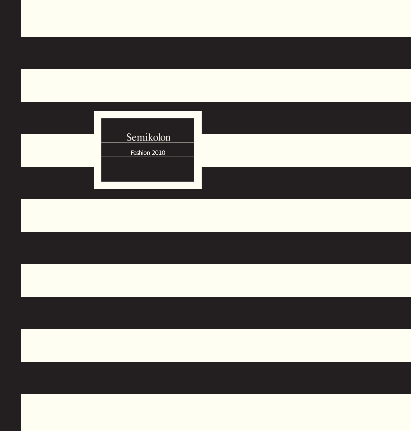## Semikolon Fashion 2010